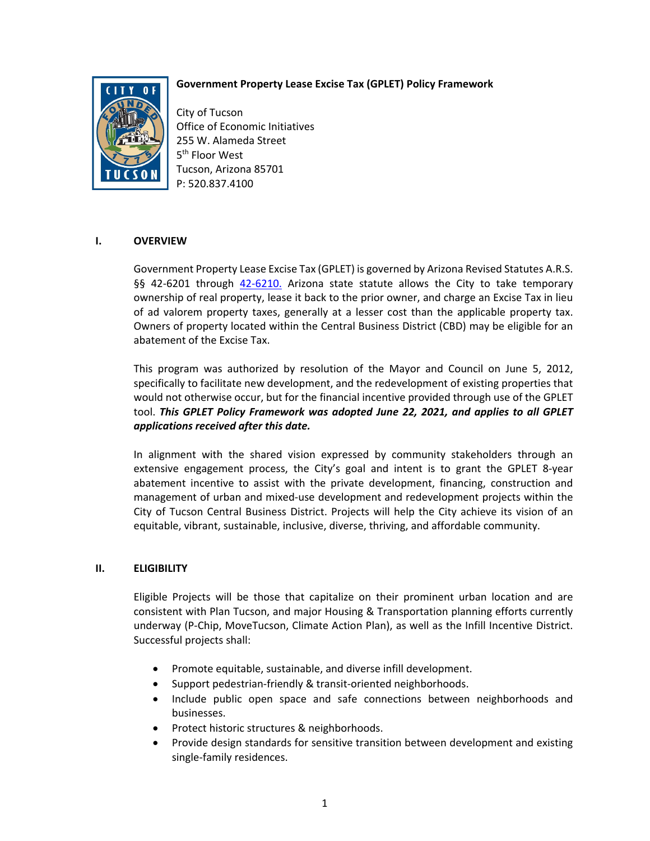# **Government Property Lease Excise Tax (GPLET) Policy Framework**



City of Tucson Office of Economic Initiatives 255 W. Alameda Street 5<sup>th</sup> Floor West Tucson, Arizona 85701 P: 520.837.4100

## **I. OVERVIEW**

Government Property Lease Excise Tax (GPLET) is governed by Arizona Revised Statutes A.R.S. §§ 42-6201 through 42-6210. Arizona state statute allows the City to take temporary ownership of real property, lease it back to the prior owner, and charge an Excise Tax in lieu of ad valorem property taxes, generally at a lesser cost than the applicable property tax. Owners of property located within the Central Business District (CBD) may be eligible for an abatement of the Excise Tax.

This program was authorized by resolution of the Mayor and Council on June 5, 2012, specifically to facilitate new development, and the redevelopment of existing properties that would not otherwise occur, but for the financial incentive provided through use of the GPLET tool. *This GPLET Policy Framework was adopted June 22, 2021, and applies to all GPLET applications received after this date.*

In alignment with the shared vision expressed by community stakeholders through an extensive engagement process, the City's goal and intent is to grant the GPLET 8‐year abatement incentive to assist with the private development, financing, construction and management of urban and mixed‐use development and redevelopment projects within the City of Tucson Central Business District. Projects will help the City achieve its vision of an equitable, vibrant, sustainable, inclusive, diverse, thriving, and affordable community.

#### **II. ELIGIBILITY**

Eligible Projects will be those that capitalize on their prominent urban location and are consistent with Plan Tucson, and major Housing & Transportation planning efforts currently underway (P‐Chip, MoveTucson, Climate Action Plan), as well as the Infill Incentive District. Successful projects shall:

- Promote equitable, sustainable, and diverse infill development.
- Support pedestrian‐friendly & transit‐oriented neighborhoods.
- Include public open space and safe connections between neighborhoods and businesses.
- Protect historic structures & neighborhoods.
- Provide design standards for sensitive transition between development and existing single‐family residences.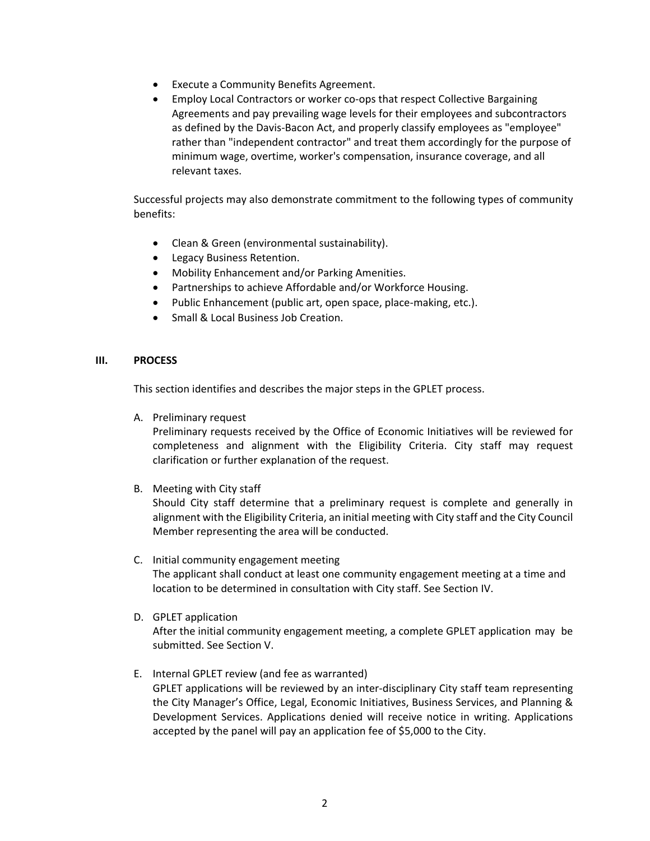- Execute a Community Benefits Agreement.
- Employ Local Contractors or worker co-ops that respect Collective Bargaining Agreements and pay prevailing wage levels for their employees and subcontractors as defined by the Davis-Bacon Act, and properly classify employees as "employee" rather than "independent contractor" and treat them accordingly for the purpose of minimum wage, overtime, worker's compensation, insurance coverage, and all relevant taxes.

Successful projects may also demonstrate commitment to the following types of community benefits:

- Clean & Green (environmental sustainability).
- Legacy Business Retention.
- Mobility Enhancement and/or Parking Amenities.
- Partnerships to achieve Affordable and/or Workforce Housing.
- Public Enhancement (public art, open space, place-making, etc.).
- Small & Local Business Job Creation.

## **III. PROCESS**

This section identifies and describes the major steps in the GPLET process.

A. Preliminary request

Preliminary requests received by the Office of Economic Initiatives will be reviewed for completeness and alignment with the Eligibility Criteria. City staff may request clarification or further explanation of the request.

B. Meeting with City staff

Should City staff determine that a preliminary request is complete and generally in alignment with the Eligibility Criteria, an initial meeting with City staff and the City Council Member representing the area will be conducted.

- C. Initial community engagement meeting The applicant shall conduct at least one community engagement meeting at a time and location to be determined in consultation with City staff. See Section IV.
- D. GPLET application

After the initial community engagement meeting, a complete GPLET application may be submitted. See Section V.

E. Internal GPLET review (and fee as warranted) GPLET applications will be reviewed by an inter-disciplinary City staff team representing the City Manager's Office, Legal, Economic Initiatives, Business Services, and Planning & Development Services. Applications denied will receive notice in writing. Applications accepted by the panel will pay an application fee of \$5,000 to the City.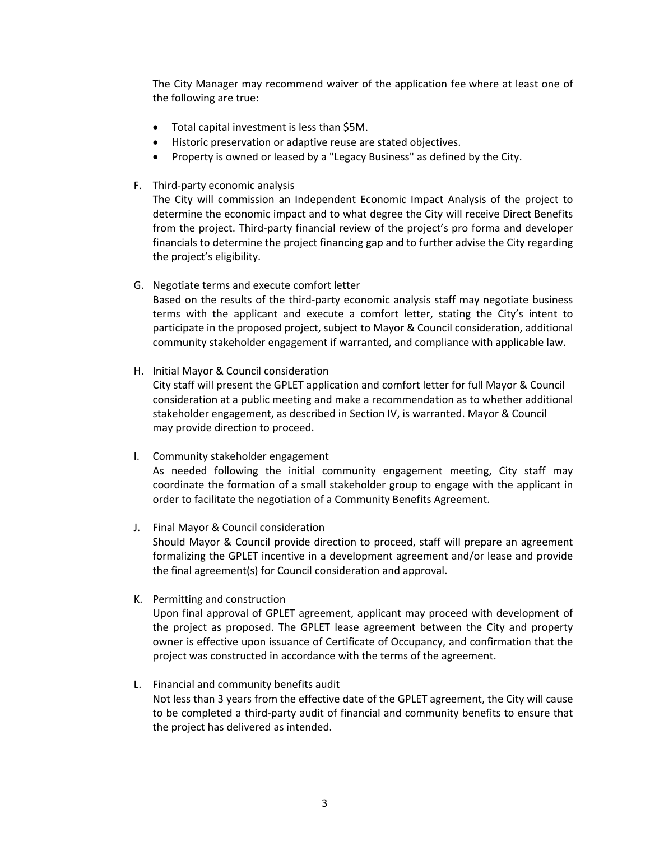The City Manager may recommend waiver of the application fee where at least one of the following are true:

- Total capital investment is less than \$5M.
- Historic preservation or adaptive reuse are stated objectives.
- Property is owned or leased by a "Legacy Business" as defined by the City.
- F. Third‐party economic analysis

The City will commission an Independent Economic Impact Analysis of the project to determine the economic impact and to what degree the City will receive Direct Benefits from the project. Third-party financial review of the project's pro forma and developer financials to determine the project financing gap and to further advise the City regarding the project's eligibility.

G. Negotiate terms and execute comfort letter

Based on the results of the third‐party economic analysis staff may negotiate business terms with the applicant and execute a comfort letter, stating the City's intent to participate in the proposed project, subject to Mayor & Council consideration, additional community stakeholder engagement if warranted, and compliance with applicable law.

H. Initial Mayor & Council consideration

City staff will present the GPLET application and comfort letter for full Mayor & Council consideration at a public meeting and make a recommendation as to whether additional stakeholder engagement, as described in Section IV, is warranted. Mayor & Council may provide direction to proceed.

I. Community stakeholder engagement

As needed following the initial community engagement meeting, City staff may coordinate the formation of a small stakeholder group to engage with the applicant in order to facilitate the negotiation of a Community Benefits Agreement.

J. Final Mayor & Council consideration

Should Mayor & Council provide direction to proceed, staff will prepare an agreement formalizing the GPLET incentive in a development agreement and/or lease and provide the final agreement(s) for Council consideration and approval.

K. Permitting and construction

Upon final approval of GPLET agreement, applicant may proceed with development of the project as proposed. The GPLET lease agreement between the City and property owner is effective upon issuance of Certificate of Occupancy, and confirmation that the project was constructed in accordance with the terms of the agreement.

L. Financial and community benefits audit

Not less than 3 years from the effective date of the GPLET agreement, the City will cause to be completed a third‐party audit of financial and community benefits to ensure that the project has delivered as intended.